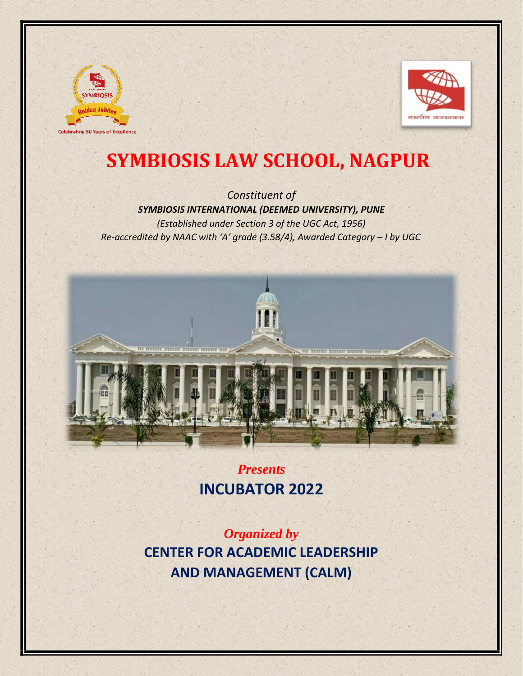



# **SYMBIOSIS LAW SCHOOL, NAGPUR**

*Constituent of SYMBIOSIS INTERNATIONAL (DEEMED UNIVERSITY), PUNE (Established under Section 3 of the UGC Act, 1956) Re-accredited by NAAC with 'A' grade (3.58/4), Awarded Category – I by UGC* 



*Presents*  **INCUBATOR 2022** 

*Organized by* **CENTER FOR ACADEMIC LEADERSHIP AND MANAGEMENT (CALM)**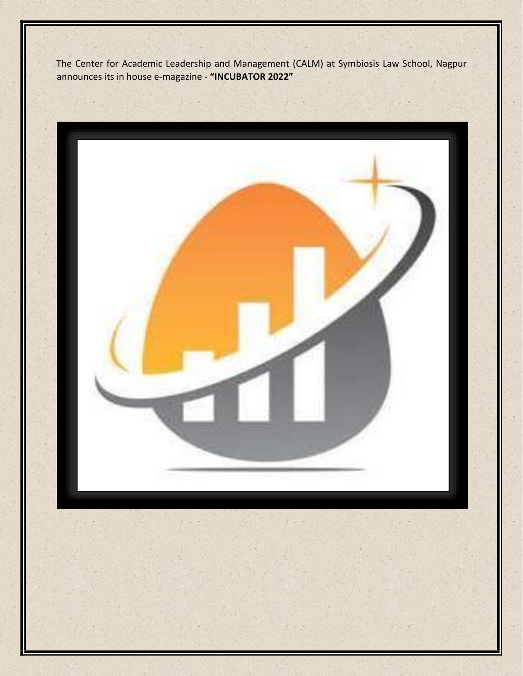The Center for Academic Leadership and Management (CALM) at Symbiosis Law School, Nagpur announces its in house e-magazine - **"INCUBATOR 2022"** 

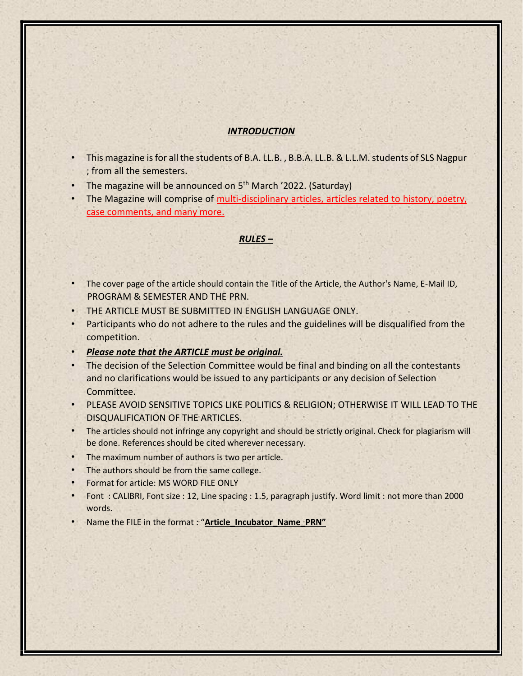## *INTRODUCTION*

- This magazine is for all the students of B.A. LL.B. , B.B.A. LL.B. & L.L.M. students of SLS Nagpur ; from all the semesters.
- The magazine will be announced on 5<sup>th</sup> March '2022. (Saturday)
- The Magazine will comprise of multi-disciplinary articles, articles related to history, poetry, case comments, and many more.

#### *RULES –*

- The cover page of the article should contain the Title of the Article, the Author's Name, E-Mail ID, PROGRAM & SEMESTER AND THE PRN.
- THE ARTICLE MUST BE SUBMITTED IN ENGLISH LANGUAGE ONLY.
- Participants who do not adhere to the rules and the guidelines will be disqualified from the competition.
- *Please note that the ARTICLE must be original.*
- The decision of the Selection Committee would be final and binding on all the contestants and no clarifications would be issued to any participants or any decision of Selection Committee.
- PLEASE AVOID SENSITIVE TOPICS LIKE POLITICS & RELIGION; OTHERWISE IT WILL LEAD TO THE DISQUALIFICATION OF THE ARTICLES.
- The articles should not infringe any copyright and should be strictly original. Check for plagiarism will be done. References should be cited wherever necessary.
- The maximum number of authors is two per article.
- The authors should be from the same college.
- Format for article: MS WORD FILE ONLY
- Font : CALIBRI, Font size : 12, Line spacing : 1.5, paragraph justify. Word limit : not more than 2000 words.
- Name the FILE in the format : "**Article\_Incubator\_Name\_PRN"**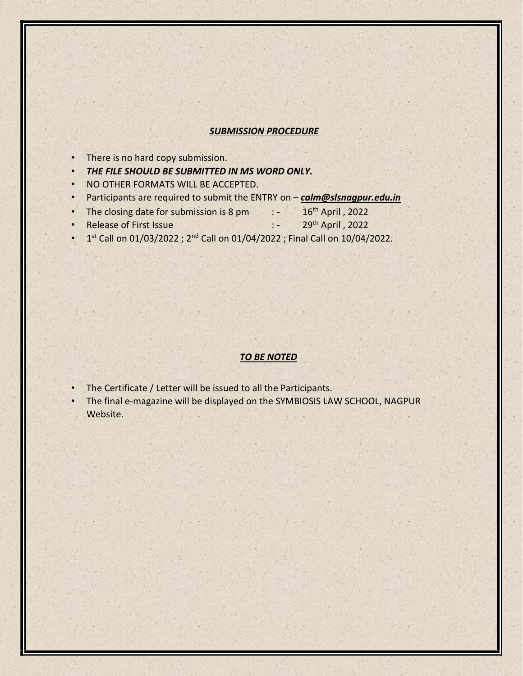#### *SUBMISSION PROCEDURE*

- There is no hard copy submission.
- *THE FILE SHOULD BE SUBMITTED IN MS WORD ONLY.*
- NO OTHER FORMATS WILL BE ACCEPTED.
- Participants are required to submit the ENTRY on *calm@slsnagpur.edu.in*
- The closing date for submission is  $8 \text{ pm}$  :  $-$  16<sup>th</sup> April, 2022
- **Release of First Issue : 29th April , 2022**
- $\cdot$  1<sup>st</sup> Call on 01/03/2022 ; 2<sup>nd</sup> Call on 01/04/2022 ; Final Call on 10/04/2022.

### *TO BE NOTED*

- The Certificate / Letter will be issued to all the Participants.
- The final e-magazine will be displayed on the SYMBIOSIS LAW SCHOOL, NAGPUR Website.